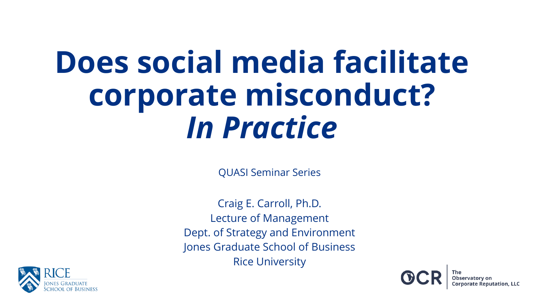# **Does social media facilitate corporate misconduct?** *In Practice*

QUASI Seminar Series

Craig E. Carroll, Ph.D. Lecture of Management Dept. of Strategy and Environment Jones Graduate School of Business Rice University



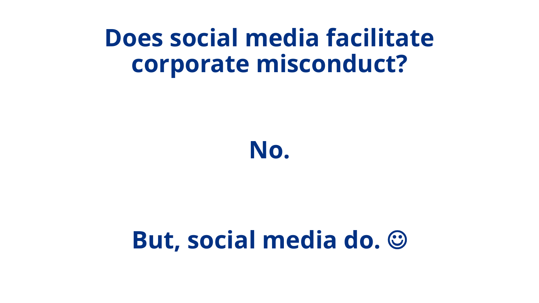### **Does social media facilitate corporate misconduct?**

**No.**

#### **But, social media do.** ☺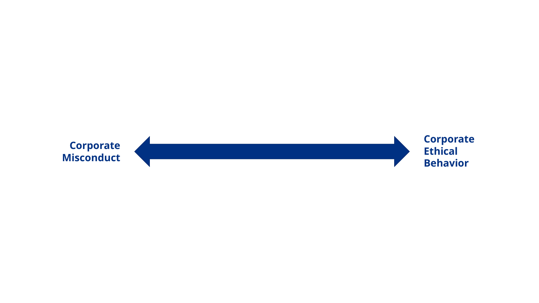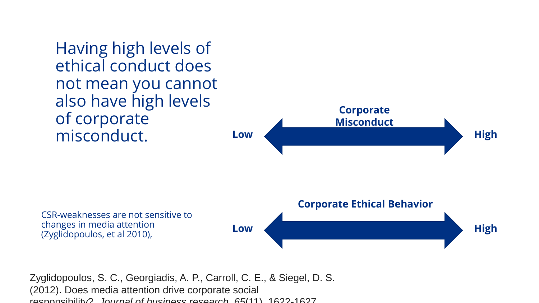Having high levels of ethical conduct does not mean you cannot also have high levels of corporate misconduct.

changes in media attention (Zyglidopoulos, et al 2010),



Zyglidopoulos, S. C., Georgiadis, A. P., Carroll, C. E., & Siegel, D. S. (2012). Does media attention drive corporate social responsibility?. *Journal of business research*, *65*(11), 1622-1627.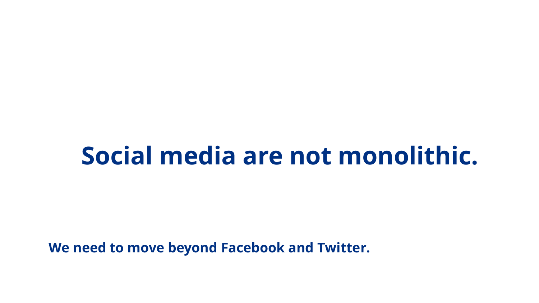### **Social media are not monolithic.**

**We need to move beyond Facebook and Twitter.**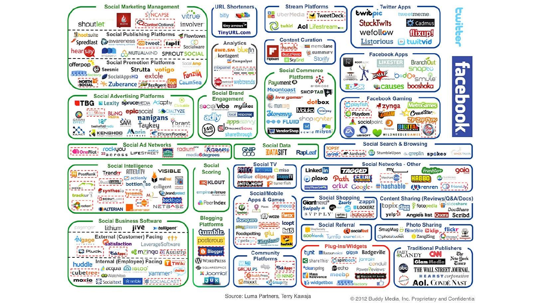

Source: Luma Partners, Terry Kawaja

@ 2012 Buddy Media, Inc. Proprietary and Confidential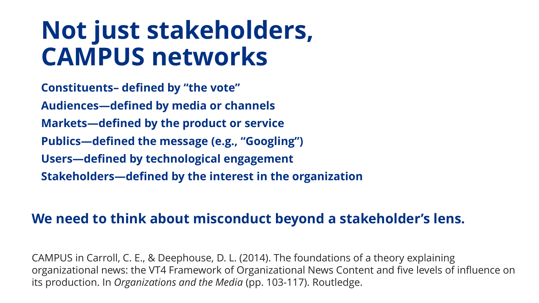### **Not just stakeholders, CAMPUS networks**

**Constituents– defined by "the vote" Audiences—defined by media or channels Markets—defined by the product or service Publics—defined the message (e.g., "Googling") Users—defined by technological engagement Stakeholders—defined by the interest in the organization**

#### **We need to think about misconduct beyond a stakeholder's lens.**

CAMPUS in Carroll, C. E., & Deephouse, D. L. (2014). The foundations of a theory explaining organizational news: the VT4 Framework of Organizational News Content and five levels of influence on its production. In *Organizations and the Media* (pp. 103-117). Routledge.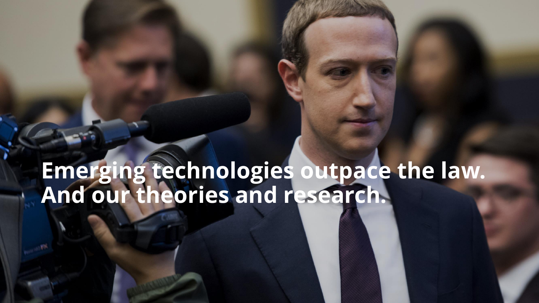#### **Emerging technologies outpace the law. And our theories and research.**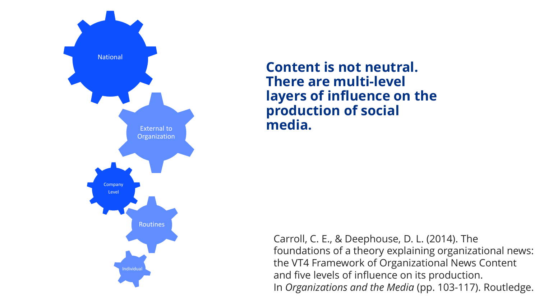

**Content is not neutral. There are multi-level layers of influence on the production of social media.**

Carroll, C. E., & Deephouse, D. L. (2014). The foundations of a theory explaining organizational news: the VT4 Framework of Organizational News Content and five levels of influence on its production. In *Organizations and the Media* (pp. 103-117). Routledge.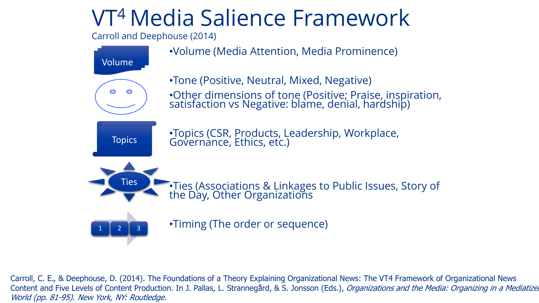#### VT<sup>4</sup>Media Salience Framework

Carroll and Deephouse (2014)



Carroll, C. E., & Deephouse, D. (2014). The Foundations of a Theory Explaining Organizational News: The VT4 Framework of Organizational News Content and Five Levels of Content Production. In J. Pallas, L. Strannegård, & S. Jonsson (Eds.), Organizations and the Media: Organizing in a Mediatize World (pp. 81-95). New York, NY: Routledge.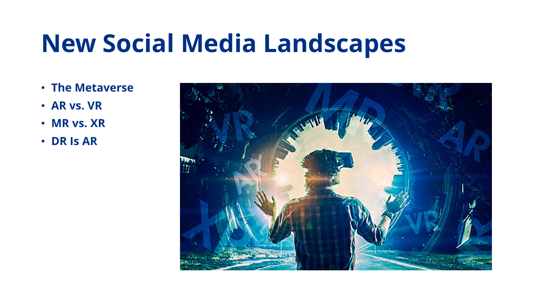### **New Social Media Landscapes**

- **The Metaverse**
- **AR vs. VR**
- **MR vs. XR**
- **DR Is AR**

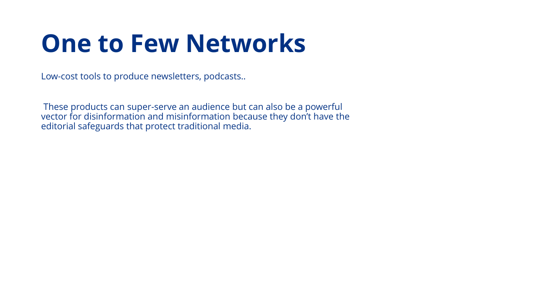### **One to Few Networks**

Low-cost tools to produce newsletters, podcasts..

These products can super-serve an audience but can also be a powerful vector for disinformation and misinformation because they don't have the editorial safeguards that protect traditional media.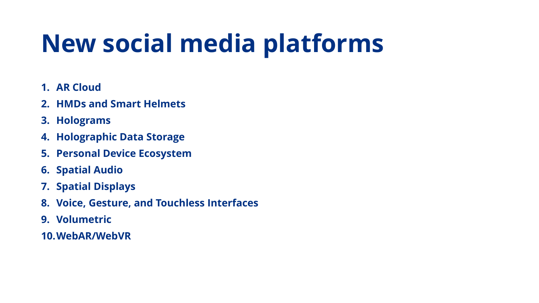## **New social media platforms**

- **1. AR Cloud**
- **2. HMDs and Smart Helmets**
- **3. Holograms**
- **4. Holographic Data Storage**
- **5. Personal Device Ecosystem**
- **6. Spatial Audio**
- **7. Spatial Displays**
- **8. Voice, Gesture, and Touchless Interfaces**
- **9. Volumetric**
- **10.WebAR/WebVR**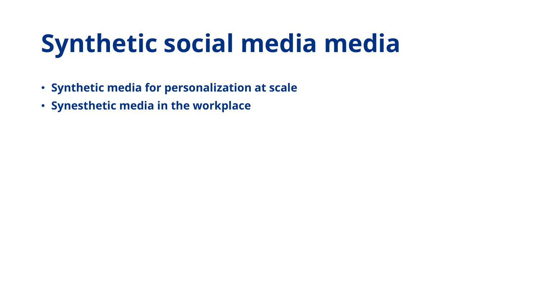## **Synthetic social media media**

- **Synthetic media for personalization at scale**
- **Synesthetic media in the workplace**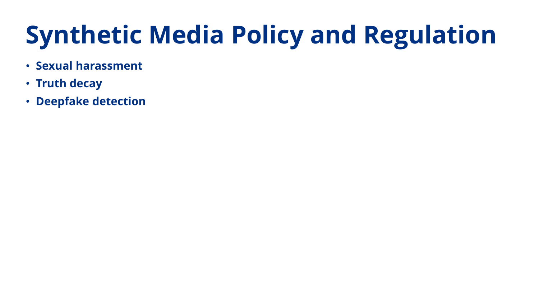# **Synthetic Media Policy and Regulation**

- **Sexual harassment**
- **Truth decay**
- **Deepfake detection**